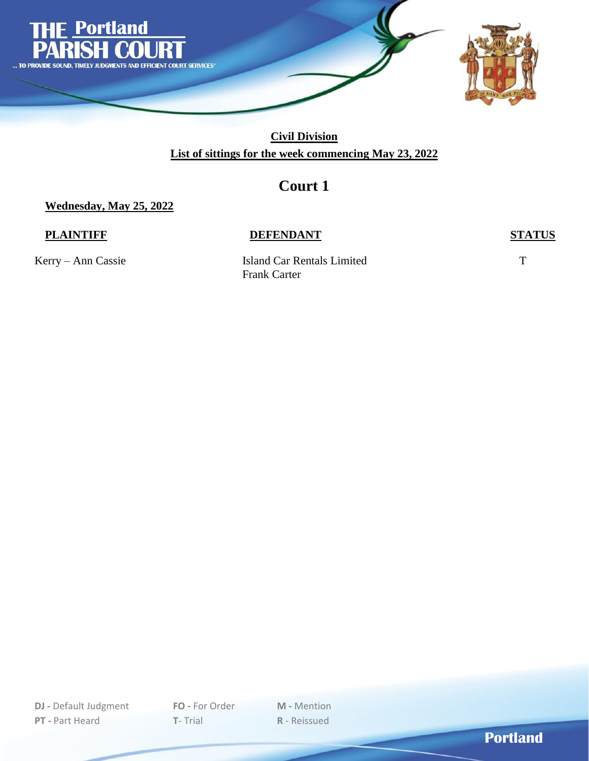

### **Civil Division List of sittings for the week commencing May 23, 2022**

## **Court 1**

**Wednesday, May 25, 2022**

### **PLAINTIFF DEFENDANT STATUS**

Kerry – Ann Cassie Island Car Rentals Limited T Frank Carter

**DJ -** Default Judgment **FO -** For Order **M -** Mention **PT -** Part Heard **T**- Trial **R** - Reissued

**Portland**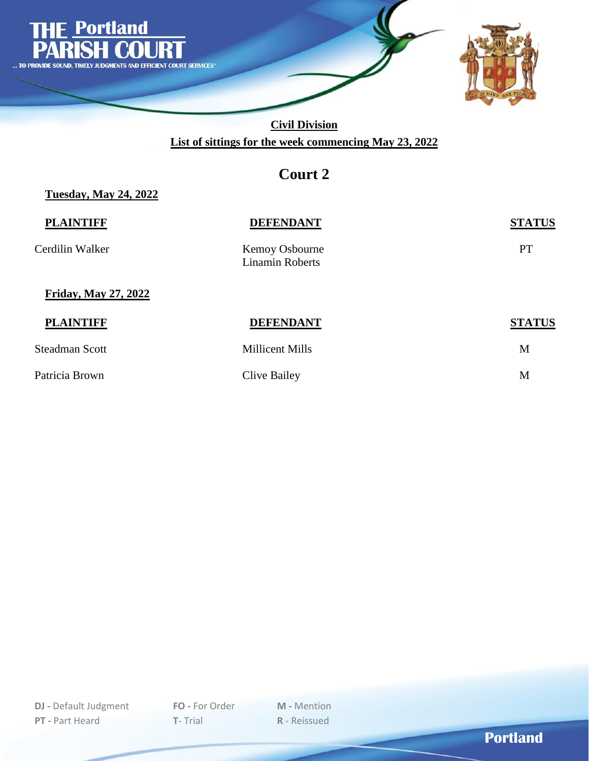

**Civil Division List of sittings for the week commencing May 23, 2022**

## **Court 2**

#### **Tuesday, May 24, 2022**

| Cerdilin Walker<br>Kemoy Osbourne<br><b>Linamin Roberts</b> | PT            |
|-------------------------------------------------------------|---------------|
| <b>Friday, May 27, 2022</b>                                 |               |
| <b>PLAINTIFF</b><br><b>DEFENDANT</b>                        | <b>STATUS</b> |
| <b>Steadman Scott</b><br><b>Millicent Mills</b>             | M             |

Patricia Brown Clive Bailey M

**DJ -** Default Judgment **FO -** For Order **M -** Mention **PT -** Part Heard **T**- Trial **R** - Reissued

**Portland**